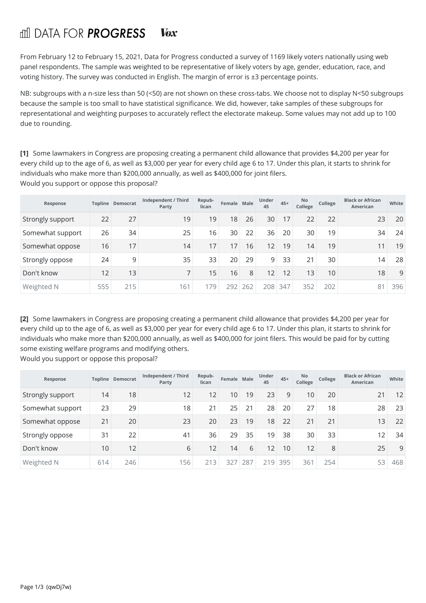## fill DATA FOR **PROGRESS Vex**

From February 12 to February 15, 2021, Data for Progress conducted a survey of 1169 likely voters nationally using web panel respondents. The sample was weighted to be representative of likely voters by age, gender, education, race, and voting history. The survey was conducted in English. The margin of error is ±3 percentage points.

NB: subgroups with a n-size less than 50 (<50) are not shown on these cross-tabs. We choose not to display N<50 subgroups because the sample is too small to have statistical significance. We did, however, take samples of these subgroups for representational and weighting purposes to accurately reflect the electorate makeup. Some values may not add up to 100 due to rounding.

**[1]** Some lawmakers in Congress are proposing creating a permanent child allowance that provides \$4,200 per year for every child up to the age of 6, as well as \$3,000 per year for every child age 6 to 17. Under this plan, it starts to shrink for individuals who make more than \$200,000 annually, as well as \$400,000 for joint filers. Would you support or oppose this proposal?

| Response         |     | <b>Topline Democrat</b> | Independent / Third<br>Party | Repub-<br>lican | Female Male |     | Under<br>45 | $45+$ | <b>No</b><br>College | College | <b>Black or African</b><br>American | White |
|------------------|-----|-------------------------|------------------------------|-----------------|-------------|-----|-------------|-------|----------------------|---------|-------------------------------------|-------|
| Strongly support | 22  | 27                      | 19                           | 19              | 18          | 26  | 30          | 17    | 22                   | 22      | 23                                  | 20    |
| Somewhat support | 26  | 34                      | 25                           | 16              | 30          | 22  | 36          | 20    | 30                   | 19      | 34                                  | 24    |
| Somewhat oppose  | 16  | 17                      | 14                           | 17              | 17          | 16  | 12          | 19    | 14                   | 19      | 11                                  | 19    |
| Strongly oppose  | 24  | 9                       | 35                           | 33              | 20          | 29  | 9           | 33    | 21                   | 30      | 14                                  | 28    |
| Don't know       | 12  | 13                      |                              | 15              | 16          | 8   | 12          | 12    | 13                   | 10      | 18                                  | 9     |
| Weighted N       | 555 | 215                     | 161                          | 179             | 292         | 262 | 208         | 347   | 352                  | 202     | 81                                  | 396   |

**[2]** Some lawmakers in Congress are proposing creating a permanent child allowance that provides \$4,200 per year for every child up to the age of 6, as well as \$3,000 per year for every child age 6 to 17. Under this plan, it starts to shrink for individuals who make more than \$200,000 annually, as well as \$400,000 for joint filers. This would be paid for by cutting some existing welfare programs and modifying others.

Would you support or oppose this proposal?

| Response         |     | <b>Topline Democrat</b> | Independent / Third<br>Party | Repub-<br>lican | Female Male |     | Under<br>45 | $45+$ | <b>No</b><br>College | College | <b>Black or African</b><br>American | White |
|------------------|-----|-------------------------|------------------------------|-----------------|-------------|-----|-------------|-------|----------------------|---------|-------------------------------------|-------|
| Strongly support | 14  | 18                      | 12                           | 12              | 10          | 19  | 23          | 9     | 10 <sup>1</sup>      | 20      | 21                                  | 12    |
| Somewhat support | 23  | 29                      | 18                           | 21              | 25          | 21  | 28          | 20    | 27                   | 18      | 28                                  | 23    |
| Somewhat oppose  | 21  | 20                      | 23                           | 20              | 23          | 19  | 18          | 22    | 21                   | 21      | 13                                  | 22    |
| Strongly oppose  | 31  | 22                      | 41                           | 36              | 29          | 35  | 19          | 38    | 30                   | 33      | 12                                  | 34    |
| Don't know       | 10  | 12                      | 6                            | 12              | 14          | 6   | 12          | 10    | 12                   | 8       | 25                                  | 9     |
| Weighted N       | 614 | 246                     | 156                          | 213             | 327         | 287 | 219         | 395   | 361                  | 254     | 53                                  | 468   |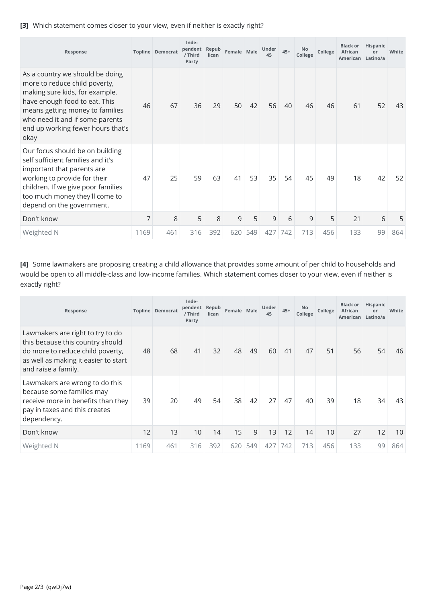## **[3]** Which statement comes closer to your view, even if neither is exactly right?

| Response                                                                                                                                                                                                                                               |      | <b>Topline Democrat</b> | Inde-<br>pendent<br>/ Third<br>Party | Repub<br>lican | Female Male |     | Under<br>45 | $45+$ | No<br>College | College | <b>Black or</b><br>African<br>American Latino/a | Hispanic<br>or | White |
|--------------------------------------------------------------------------------------------------------------------------------------------------------------------------------------------------------------------------------------------------------|------|-------------------------|--------------------------------------|----------------|-------------|-----|-------------|-------|---------------|---------|-------------------------------------------------|----------------|-------|
| As a country we should be doing<br>more to reduce child poverty,<br>making sure kids, for example,<br>have enough food to eat. This<br>means getting money to families<br>who need it and if some parents<br>end up working fewer hours that's<br>okay | 46   | 67                      | 36                                   | 29             | 50          | 42  | 56          | 40    | 46            | 46      | 61                                              | 52             | 43    |
| Our focus should be on building<br>self sufficient families and it's<br>important that parents are<br>working to provide for their<br>children. If we give poor families<br>too much money they'll come to<br>depend on the government.                | 47   | 25                      | 59                                   | 63             | 41          | 53  | 35          | 54    | 45            | 49      | 18                                              | 42             | 52    |
| Don't know                                                                                                                                                                                                                                             | 7    | 8                       | 5                                    | 8              | 9           | 5   | 9           | 6     | 9             | 5       | 21                                              | 6              | 5     |
| Weighted N                                                                                                                                                                                                                                             | 1169 | 461                     | 316                                  | 392            | 620         | 549 | 427         | 742   | 713           | 456     | 133                                             | 99             | 864   |

**[4]** Some lawmakers are proposing creating a child allowance that provides some amount of per child to households and would be open to all middle-class and low-income families. Which statement comes closer to your view, even if neither is exactly right?

| Response                                                                                                                                                                |      | <b>Topline Democrat</b> | Inde-<br>pendent Repub<br>/ Third<br>Party | lican | Female Male |     | Under<br>45 | $45+$ | No<br>College | College | <b>Black or</b><br><b>African</b><br>American Latino/a | Hispanic<br>or | White |
|-------------------------------------------------------------------------------------------------------------------------------------------------------------------------|------|-------------------------|--------------------------------------------|-------|-------------|-----|-------------|-------|---------------|---------|--------------------------------------------------------|----------------|-------|
| Lawmakers are right to try to do<br>this because this country should<br>do more to reduce child poverty,<br>as well as making it easier to start<br>and raise a family. | 48   | 68                      | 41                                         | 32    | 48          | 49  | 60          | 41    | 47            | 51      | 56                                                     | 54             | 46    |
| Lawmakers are wrong to do this<br>because some families may<br>receive more in benefits than they<br>pay in taxes and this creates<br>dependency.                       | 39   | 20                      | 49                                         | 54    | 38          | 42  | 27          | 47    | 40            | 39      | 18                                                     | 34             | 43    |
| Don't know                                                                                                                                                              | 12   | 13                      | 10                                         | 14    | 15          | 9   | 13          | 12    | 14            | 10      | 27                                                     | 12             | 10    |
| Weighted N                                                                                                                                                              | 1169 | 461                     | 316                                        | 392   | 620         | 549 | 427         | 742   | 713           | 456     | 133                                                    | 99             | 864   |